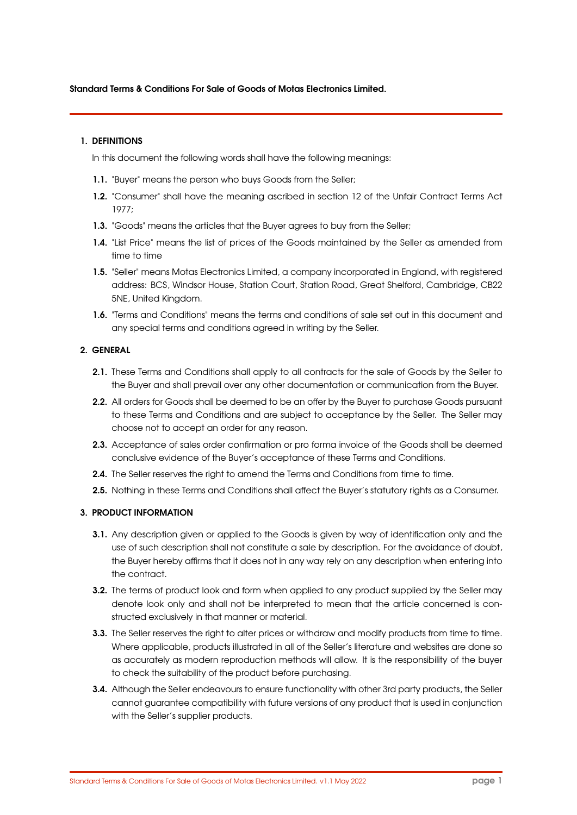#### Standard Terms & Conditions For Sale of Goods of Motas Electronics Limited.

#### 1. DEFINITIONS

In this document the following words shall have the following meanings:

- 1.1. "Buyer" means the person who buys Goods from the Seller;
- 1.2. "Consumer" shall have the meaning ascribed in section 12 of the Unfair Contract Terms Act 1977;
- 1.3. "Goods" means the articles that the Buyer agrees to buy from the Seller;
- 1.4. "List Price" means the list of prices of the Goods maintained by the Seller as amended from time to time
- 1.5. "Seller" means Motas Electronics Limited, a company incorporated in England, with registered address: BCS, Windsor House, Station Court, Station Road, Great Shelford, Cambridge, CB22 5NE, United Kingdom.
- 1.6. "Terms and Conditions" means the terms and conditions of sale set out in this document and any special terms and conditions agreed in writing by the Seller.

## 2. GENERAL

- 2.1. These Terms and Conditions shall apply to all contracts for the sale of Goods by the Seller to the Buyer and shall prevail over any other documentation or communication from the Buyer.
- 2.2. All orders for Goods shall be deemed to be an offer by the Buyer to purchase Goods pursuant to these Terms and Conditions and are subject to acceptance by the Seller. The Seller may choose not to accept an order for any reason.
- 2.3. Acceptance of sales order confirmation or pro forma invoice of the Goods shall be deemed conclusive evidence of the Buyer's acceptance of these Terms and Conditions.
- 2.4. The Seller reserves the right to amend the Terms and Conditions from time to time.
- 2.5. Nothing in these Terms and Conditions shall affect the Buyer's statutory rights as a Consumer.

## 3. PRODUCT INFORMATION

- 3.1. Any description given or applied to the Goods is given by way of identification only and the use of such description shall not constitute a sale by description. For the avoidance of doubt, the Buyer hereby affirms that it does not in any way rely on any description when entering into the contract.
- 3.2. The terms of product look and form when applied to any product supplied by the Seller may denote look only and shall not be interpreted to mean that the article concerned is constructed exclusively in that manner or material.
- 3.3. The Seller reserves the right to alter prices or withdraw and modify products from time to time. Where applicable, products illustrated in all of the Seller's literature and websites are done so as accurately as modern reproduction methods will allow. It is the responsibility of the buyer to check the suitability of the product before purchasing.
- 3.4. Although the Seller endeavours to ensure functionality with other 3rd party products, the Seller cannot guarantee compatibility with future versions of any product that is used in conjunction with the Seller's supplier products.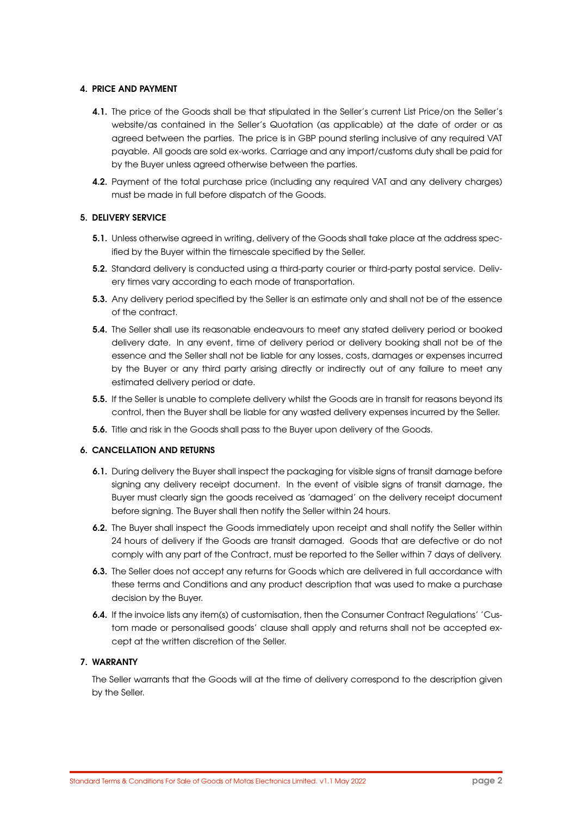### 4. PRICE AND PAYMENT

- 4.1. The price of the Goods shall be that stipulated in the Seller's current List Price/on the Seller's website/as contained in the Seller's Quotation (as applicable) at the date of order or as agreed between the parties. The price is in GBP pound sterling inclusive of any required VAT payable. All goods are sold ex-works. Carriage and any import/customs duty shall be paid for by the Buyer unless agreed otherwise between the parties.
- **4.2.** Payment of the total purchase price (including any required VAT and any delivery charges) must be made in full before dispatch of the Goods.

## 5. DELIVERY SERVICE

- 5.1. Unless otherwise agreed in writing, delivery of the Goods shall take place at the address specified by the Buyer within the timescale specified by the Seller.
- 5.2. Standard delivery is conducted using a third-party courier or third-party postal service. Delivery times vary according to each mode of transportation.
- 5.3. Any delivery period specified by the Seller is an estimate only and shall not be of the essence of the contract.
- 5.4. The Seller shall use its reasonable endeavours to meet any stated delivery period or booked delivery date. In any event, time of delivery period or delivery booking shall not be of the essence and the Seller shall not be liable for any losses, costs, damages or expenses incurred by the Buyer or any third party arising directly or indirectly out of any failure to meet any estimated delivery period or date.
- **5.5.** If the Seller is unable to complete delivery whilst the Goods are in transit for reasons beyond its control, then the Buyer shall be liable for any wasted delivery expenses incurred by the Seller.
- 5.6. Title and risk in the Goods shall pass to the Buyer upon delivery of the Goods.

#### 6. CANCELLATION AND RETURNS

- 6.1. During delivery the Buyer shall inspect the packaging for visible signs of transit damage before signing any delivery receipt document. In the event of visible signs of transit damage, the Buyer must clearly sign the goods received as 'damaged' on the delivery receipt document before signing. The Buyer shall then notify the Seller within 24 hours.
- 6.2. The Buyer shall inspect the Goods immediately upon receipt and shall notify the Seller within 24 hours of delivery if the Goods are transit damaged. Goods that are defective or do not comply with any part of the Contract, must be reported to the Seller within 7 days of delivery.
- 6.3. The Seller does not accept any returns for Goods which are delivered in full accordance with these terms and Conditions and any product description that was used to make a purchase decision by the Buyer.
- 6.4. If the invoice lists any item(s) of customisation, then the Consumer Contract Regulations' 'Custom made or personalised goods' clause shall apply and returns shall not be accepted except at the written discretion of the Seller.

### 7. WARRANTY

The Seller warrants that the Goods will at the time of delivery correspond to the description given by the Seller.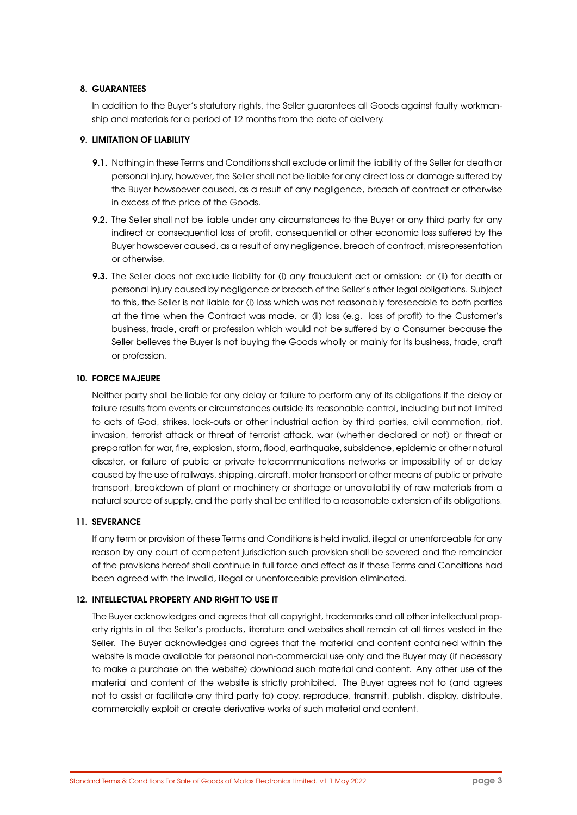### 8. GUARANTEES

In addition to the Buyer's statutory rights, the Seller guarantees all Goods against faulty workmanship and materials for a period of 12 months from the date of delivery.

### 9. LIMITATION OF LIABILITY

- 9.1. Nothing in these Terms and Conditions shall exclude or limit the liability of the Seller for death or personal injury, however, the Seller shall not be liable for any direct loss or damage suffered by the Buyer howsoever caused, as a result of any negligence, breach of contract or otherwise in excess of the price of the Goods.
- 9.2. The Seller shall not be liable under any circumstances to the Buyer or any third party for any indirect or consequential loss of profit, consequential or other economic loss suffered by the Buyer howsoever caused, as a result of any negligence, breach of contract, misrepresentation or otherwise.
- 9.3. The Seller does not exclude liability for (i) any fraudulent act or omission: or (ii) for death or personal injury caused by negligence or breach of the Seller's other legal obligations. Subject to this, the Seller is not liable for (i) loss which was not reasonably foreseeable to both parties at the time when the Contract was made, or (ii) loss (e.g. loss of profit) to the Customer's business, trade, craft or profession which would not be suffered by a Consumer because the Seller believes the Buyer is not buying the Goods wholly or mainly for its business, trade, craft or profession.

### 10. FORCE MAJEURE

Neither party shall be liable for any delay or failure to perform any of its obligations if the delay or failure results from events or circumstances outside its reasonable control, including but not limited to acts of God, strikes, lock-outs or other industrial action by third parties, civil commotion, riot, invasion, terrorist attack or threat of terrorist attack, war (whether declared or not) or threat or preparation for war, fire, explosion, storm, flood, earthquake, subsidence, epidemic or other natural disaster, or failure of public or private telecommunications networks or impossibility of or delay caused by the use of railways, shipping, aircraft, motor transport or other means of public or private transport, breakdown of plant or machinery or shortage or unavailability of raw materials from a natural source of supply, and the party shall be entitled to a reasonable extension of its obligations.

## 11. SEVERANCE

If any term or provision of these Terms and Conditions is held invalid, illegal or unenforceable for any reason by any court of competent jurisdiction such provision shall be severed and the remainder of the provisions hereof shall continue in full force and effect as if these Terms and Conditions had been agreed with the invalid, illegal or unenforceable provision eliminated.

## 12. INTELLECTUAL PROPERTY AND RIGHT TO USE IT

The Buyer acknowledges and agrees that all copyright, trademarks and all other intellectual property rights in all the Seller's products, literature and websites shall remain at all times vested in the Seller. The Buyer acknowledges and agrees that the material and content contained within the website is made available for personal non-commercial use only and the Buyer may (if necessary to make a purchase on the website) download such material and content. Any other use of the material and content of the website is strictly prohibited. The Buyer agrees not to (and agrees not to assist or facilitate any third party to) copy, reproduce, transmit, publish, display, distribute, commercially exploit or create derivative works of such material and content.